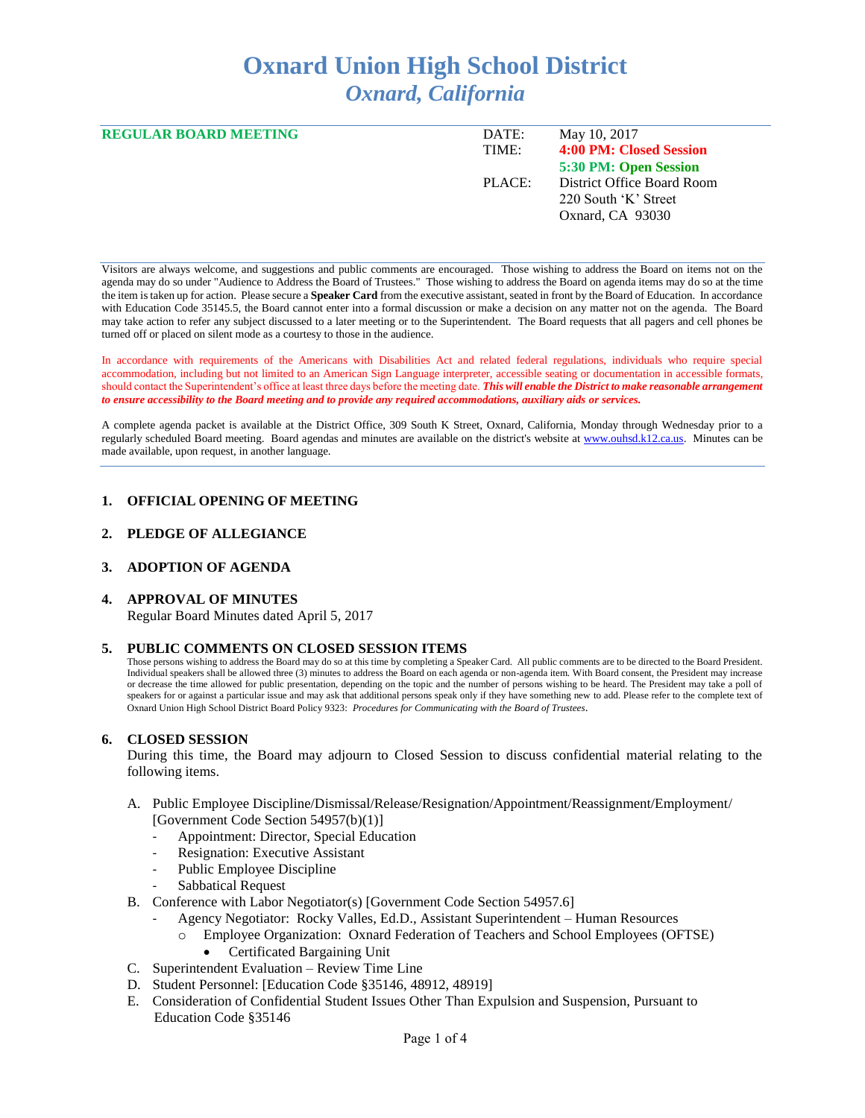# **Oxnard Union High School District** *Oxnard, California*

| <b>REGULAR BOARD MEETING</b> | DATE:  | May 10, 2017               |
|------------------------------|--------|----------------------------|
|                              | TIME:  | 4:00 PM: Closed Session    |
|                              |        | 5:30 PM: Open Session      |
|                              | PLACE: | District Office Board Room |
|                              |        | 220 South 'K' Street       |
|                              |        | Oxnard, CA 93030           |
|                              |        |                            |

Visitors are always welcome, and suggestions and public comments are encouraged. Those wishing to address the Board on items not on the agenda may do so under "Audience to Address the Board of Trustees." Those wishing to address the Board on agenda items may do so at the time the item is taken up for action. Please secure a **Speaker Card** from the executive assistant, seated in front by the Board of Education. In accordance with Education Code 35145.5, the Board cannot enter into a formal discussion or make a decision on any matter not on the agenda. The Board may take action to refer any subject discussed to a later meeting or to the Superintendent. The Board requests that all pagers and cell phones be turned off or placed on silent mode as a courtesy to those in the audience.

In accordance with requirements of the Americans with Disabilities Act and related federal regulations, individuals who require special accommodation, including but not limited to an American Sign Language interpreter, accessible seating or documentation in accessible formats, should contact the Superintendent's office at least three days before the meeting date. *This will enable the District to make reasonable arrangement to ensure accessibility to the Board meeting and to provide any required accommodations, auxiliary aids or services.* 

A complete agenda packet is available at the District Office, 309 South K Street, Oxnard, California, Monday through Wednesday prior to a regularly scheduled Board meeting. Board agendas and minutes are available on the district's website a[t www.ouhsd.k12.ca.us.](http://www.ouhsd.k12.ca.us/)Minutes can be made available, upon request, in another language.

## **1. OFFICIAL OPENING OF MEETING**

#### **2. PLEDGE OF ALLEGIANCE**

## **3. ADOPTION OF AGENDA**

#### **4. APPROVAL OF MINUTES**

Regular Board Minutes dated April 5, 2017

#### **5. PUBLIC COMMENTS ON CLOSED SESSION ITEMS**

Those persons wishing to address the Board may do so at this time by completing a Speaker Card. All public comments are to be directed to the Board President. Individual speakers shall be allowed three (3) minutes to address the Board on each agenda or non-agenda item. With Board consent, the President may increase or decrease the time allowed for public presentation, depending on the topic and the number of persons wishing to be heard. The President may take a poll of speakers for or against a particular issue and may ask that additional persons speak only if they have something new to add. Please refer to the complete text of Oxnard Union High School District Board Policy 9323: *Procedures for Communicating with the Board of Trustees*.

#### **6. CLOSED SESSION**

During this time, the Board may adjourn to Closed Session to discuss confidential material relating to the following items.

- A. Public Employee Discipline/Dismissal/Release/Resignation/Appointment/Reassignment/Employment/ [Government Code Section 54957(b)(1)]
	- Appointment: Director, Special Education
	- Resignation: Executive Assistant
	- Public Employee Discipline
	- Sabbatical Request
- B. Conference with Labor Negotiator(s) [Government Code Section 54957.6]
	- Agency Negotiator: Rocky Valles, Ed.D., Assistant Superintendent Human Resources
		- Employee Organization: Oxnard Federation of Teachers and School Employees (OFTSE)
			- Certificated Bargaining Unit
- C. Superintendent Evaluation Review Time Line
- D. Student Personnel: [Education Code §35146, 48912, 48919]
- E. Consideration of Confidential Student Issues Other Than Expulsion and Suspension, Pursuant to Education Code §35146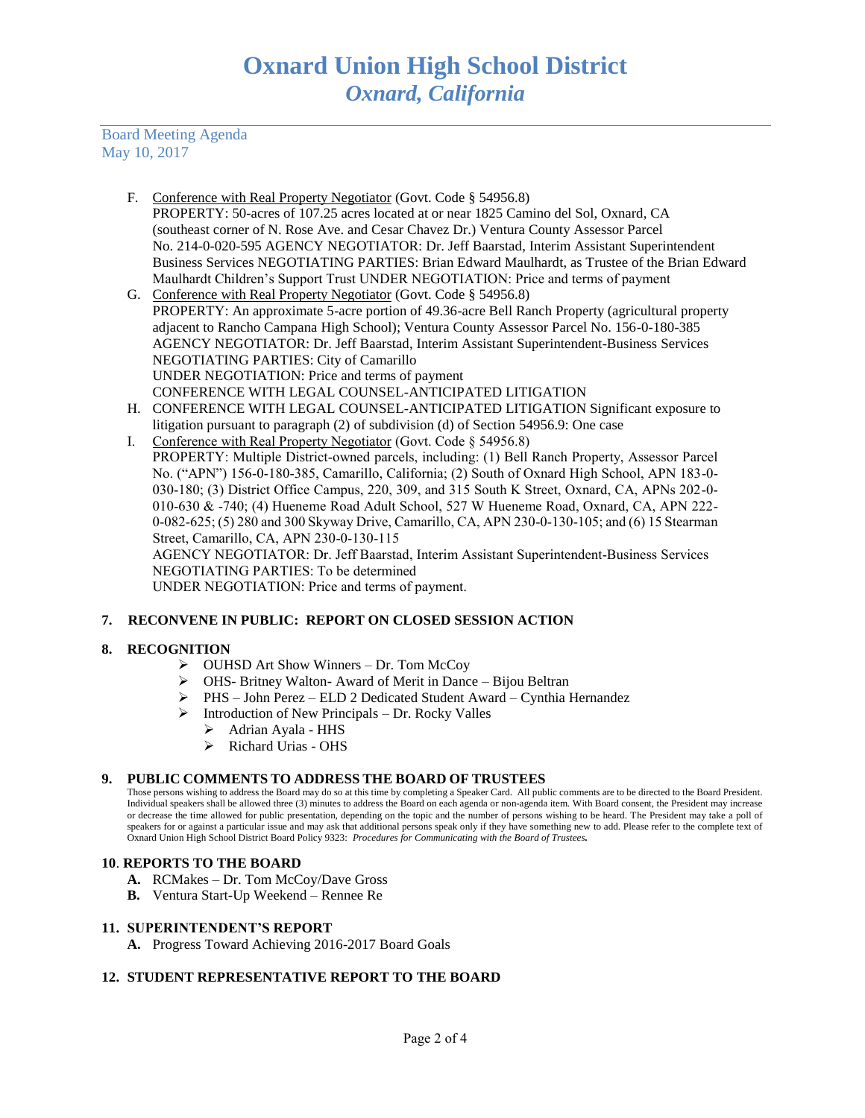Board Meeting Agenda May 10, 2017

- F. Conference with Real Property Negotiator (Govt. Code § 54956.8) PROPERTY: 50-acres of 107.25 acres located at or near 1825 Camino del Sol, Oxnard, CA (southeast corner of N. Rose Ave. and Cesar Chavez Dr.) Ventura County Assessor Parcel No. 214-0-020-595 AGENCY NEGOTIATOR: Dr. Jeff Baarstad, Interim Assistant Superintendent Business Services NEGOTIATING PARTIES: Brian Edward Maulhardt, as Trustee of the Brian Edward Maulhardt Children's Support Trust UNDER NEGOTIATION: Price and terms of payment
- G. Conference with Real Property Negotiator (Govt. Code § 54956.8) PROPERTY: An approximate 5-acre portion of 49.36-acre Bell Ranch Property (agricultural property adjacent to Rancho Campana High School); Ventura County Assessor Parcel No. 156-0-180-385 AGENCY NEGOTIATOR: Dr. Jeff Baarstad, Interim Assistant Superintendent-Business Services NEGOTIATING PARTIES: City of Camarillo UNDER NEGOTIATION: Price and terms of payment CONFERENCE WITH LEGAL COUNSEL-ANTICIPATED LITIGATION
- H. CONFERENCE WITH LEGAL COUNSEL-ANTICIPATED LITIGATION Significant exposure to litigation pursuant to paragraph (2) of subdivision (d) of Section 54956.9: One case
- I. Conference with Real Property Negotiator (Govt. Code § 54956.8) PROPERTY: Multiple District-owned parcels, including: (1) Bell Ranch Property, Assessor Parcel No. ("APN") 156-0-180-385, Camarillo, California; (2) South of Oxnard High School, APN 183-0- 030-180; (3) District Office Campus, 220, 309, and 315 South K Street, Oxnard, CA, APNs 202-0- 010-630 & -740; (4) Hueneme Road Adult School, 527 W Hueneme Road, Oxnard, CA, APN 222- 0-082-625; (5) 280 and 300 Skyway Drive, Camarillo, CA, APN 230-0-130-105; and (6) 15 Stearman Street, Camarillo, CA, APN 230-0-130-115

AGENCY NEGOTIATOR: Dr. Jeff Baarstad, Interim Assistant Superintendent-Business Services NEGOTIATING PARTIES: To be determined

UNDER NEGOTIATION: Price and terms of payment.

# **7. RECONVENE IN PUBLIC: REPORT ON CLOSED SESSION ACTION**

## **8. RECOGNITION**

- ➢ OUHSD Art Show Winners Dr. Tom McCoy
- ➢ OHS- Britney Walton- Award of Merit in Dance Bijou Beltran
- ➢ PHS John Perez ELD 2 Dedicated Student Award Cynthia Hernandez
- ➢ Introduction of New Principals Dr. Rocky Valles
	- ➢ Adrian Ayala HHS
	- ➢ Richard Urias OHS

## **9. PUBLIC COMMENTS TO ADDRESS THE BOARD OF TRUSTEES**

Those persons wishing to address the Board may do so at this time by completing a Speaker Card. All public comments are to be directed to the Board President. Individual speakers shall be allowed three (3) minutes to address the Board on each agenda or non-agenda item. With Board consent, the President may increase or decrease the time allowed for public presentation, depending on the topic and the number of persons wishing to be heard. The President may take a poll of speakers for or against a particular issue and may ask that additional persons speak only if they have something new to add. Please refer to the complete text of Oxnard Union High School District Board Policy 9323: *Procedures for Communicating with the Board of Trustees.*

## **10**. **REPORTS TO THE BOARD**

- **A.** RCMakes Dr. Tom McCoy/Dave Gross
- **B.** Ventura Start-Up Weekend Rennee Re

## **11. SUPERINTENDENT'S REPORT**

**A.** Progress Toward Achieving 2016-2017 Board Goals

## **12. STUDENT REPRESENTATIVE REPORT TO THE BOARD**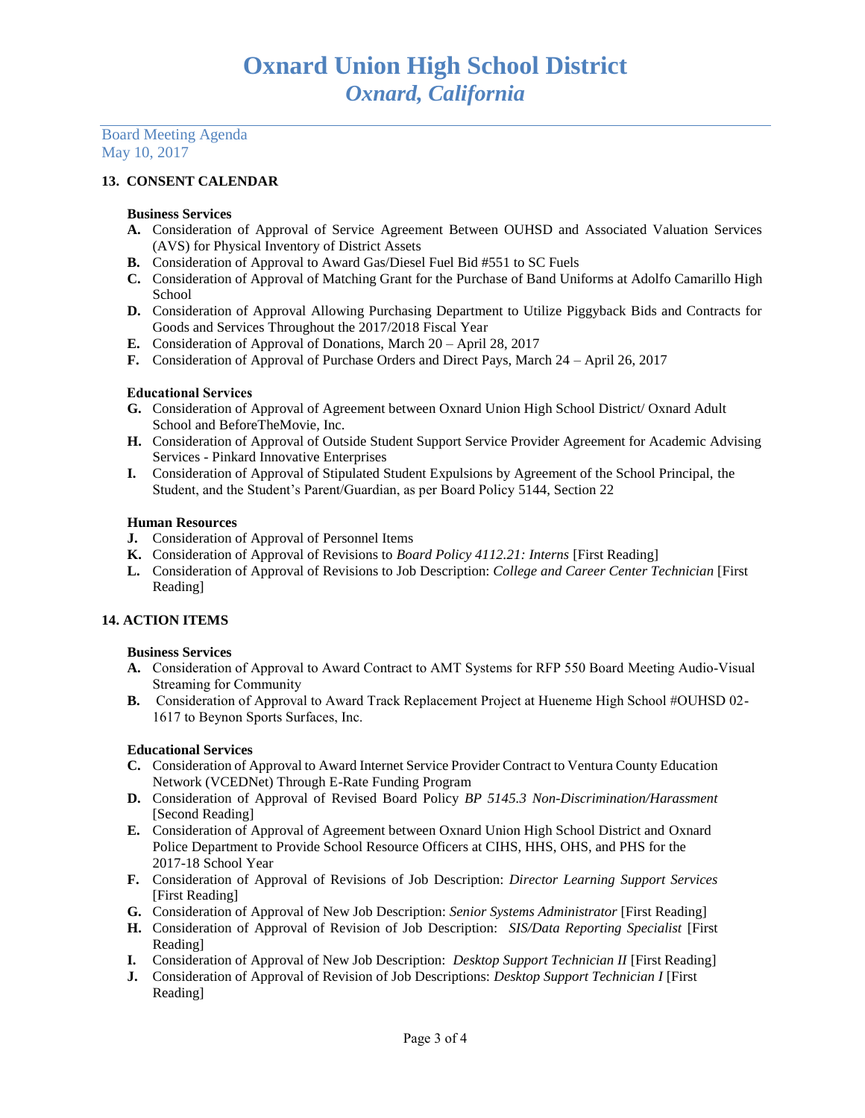#### Board Meeting Agenda May 10, 2017

## **13. CONSENT CALENDAR**

#### **Business Services**

- **A.** Consideration of Approval of Service Agreement Between OUHSD and Associated Valuation Services (AVS) for Physical Inventory of District Assets
- **B.** Consideration of Approval to Award Gas/Diesel Fuel Bid #551 to SC Fuels
- **C.** Consideration of Approval of Matching Grant for the Purchase of Band Uniforms at Adolfo Camarillo High School
- **D.** Consideration of Approval Allowing Purchasing Department to Utilize Piggyback Bids and Contracts for Goods and Services Throughout the 2017/2018 Fiscal Year
- **E.** Consideration of Approval of Donations, March 20 April 28, 2017
- **F.** Consideration of Approval of Purchase Orders and Direct Pays, March 24 April 26, 2017

## Educational Services

- **G.** Consideration of Approval of Agreement between Oxnard Union High School District/ Oxnard Adult School and BeforeTheMovie, Inc.
- **H.** Consideration of Approval of Outside Student Support Service Provider Agreement for Academic Advising Services - Pinkard Innovative Enterprises
- **I.** Consideration of Approval of Stipulated Student Expulsions by Agreement of the School Principal, the Student, and the Student's Parent/Guardian, as per Board Policy 5144, Section 22

## **Human Resources**

- **J.** Consideration of Approval of Personnel Items
- **K.** Consideration of Approval of Revisions to *Board Policy 4112.21: Interns* [First Reading]
- **L.** Consideration of Approval of Revisions to Job Description: *College and Career Center Technician* [First Reading]

## **14. ACTION ITEMS**

## **Business Services**

- **A.** Consideration of Approval to Award Contract to AMT Systems for RFP 550 Board Meeting Audio-Visual Streaming for Community
- **B.** Consideration of Approval to Award Track Replacement Project at Hueneme High School #OUHSD 02- 1617 to Beynon Sports Surfaces, Inc.

## **Educational Services**

- **C.** Consideration of Approval to Award Internet Service Provider Contract to Ventura County Education Network (VCEDNet) Through E-Rate Funding Program
- **D.** Consideration of Approval of Revised Board Policy *BP 5145.3 Non-Discrimination/Harassment* [Second Reading]
- **E.** Consideration of Approval of Agreement between Oxnard Union High School District and Oxnard Police Department to Provide School Resource Officers at CIHS, HHS, OHS, and PHS for the 2017-18 School Year
- **F.** Consideration of Approval of Revisions of Job Description: *Director Learning Support Services* [First Reading]
- **G.** Consideration of Approval of New Job Description: *Senior Systems Administrator* [First Reading]
- **H.** Consideration of Approval of Revision of Job Description: *SIS/Data Reporting Specialist* [First Reading]
- **I.** Consideration of Approval of New Job Description: *Desktop Support Technician II* [First Reading]
- **J.** Consideration of Approval of Revision of Job Descriptions: *Desktop Support Technician I* [First Reading]